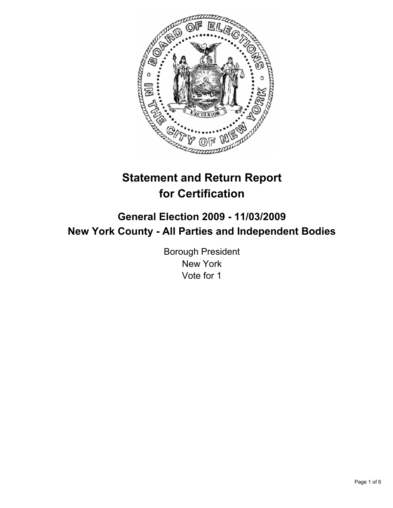

# **Statement and Return Report for Certification**

## **General Election 2009 - 11/03/2009 New York County - All Parties and Independent Bodies**

Borough President New York Vote for 1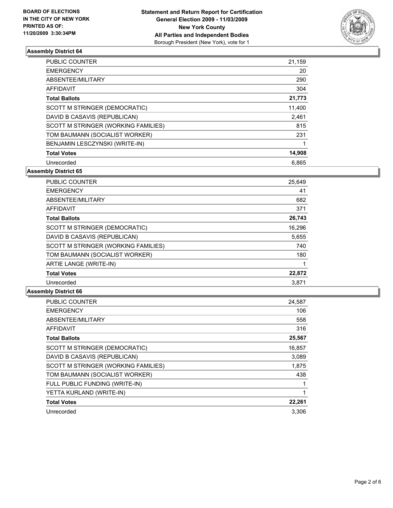

| <b>PUBLIC COUNTER</b>               | 21,159 |
|-------------------------------------|--------|
| <b>EMERGENCY</b>                    | 20     |
| ABSENTEE/MILITARY                   | 290    |
| AFFIDAVIT                           | 304    |
| <b>Total Ballots</b>                | 21,773 |
| SCOTT M STRINGER (DEMOCRATIC)       | 11,400 |
| DAVID B CASAVIS (REPUBLICAN)        | 2,461  |
| SCOTT M STRINGER (WORKING FAMILIES) | 815    |
| TOM BAUMANN (SOCIALIST WORKER)      | 231    |
| BENJAMIN LESCZYNSKI (WRITE-IN)      |        |
| <b>Total Votes</b>                  | 14,908 |
| Unrecorded                          | 6.865  |

**Assembly District 65**

| <b>PUBLIC COUNTER</b>               | 25,649 |
|-------------------------------------|--------|
| <b>EMERGENCY</b>                    | 41     |
| ABSENTEE/MILITARY                   | 682    |
| <b>AFFIDAVIT</b>                    | 371    |
| <b>Total Ballots</b>                | 26,743 |
| SCOTT M STRINGER (DEMOCRATIC)       | 16,296 |
| DAVID B CASAVIS (REPUBLICAN)        | 5,655  |
| SCOTT M STRINGER (WORKING FAMILIES) | 740    |
| TOM BAUMANN (SOCIALIST WORKER)      | 180    |
| ARTIE LANGE (WRITE-IN)              |        |
| <b>Total Votes</b>                  | 22,872 |
| Unrecorded                          | 3.871  |

| <b>PUBLIC COUNTER</b>               | 24,587 |
|-------------------------------------|--------|
| <b>EMERGENCY</b>                    | 106    |
| ABSENTEE/MILITARY                   | 558    |
| <b>AFFIDAVIT</b>                    | 316    |
| <b>Total Ballots</b>                | 25,567 |
| SCOTT M STRINGER (DEMOCRATIC)       | 16,857 |
| DAVID B CASAVIS (REPUBLICAN)        | 3,089  |
| SCOTT M STRINGER (WORKING FAMILIES) | 1,875  |
| TOM BAUMANN (SOCIALIST WORKER)      | 438    |
| FULL PUBLIC FUNDING (WRITE-IN)      | 1      |
| YETTA KURLAND (WRITE-IN)            | 1      |
| <b>Total Votes</b>                  | 22,261 |
| Unrecorded                          | 3.306  |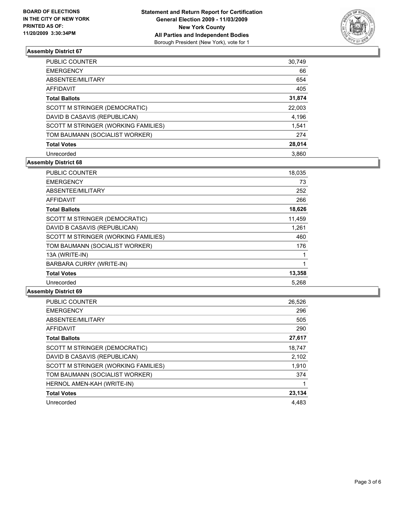

| PUBLIC COUNTER                      | 30,749 |
|-------------------------------------|--------|
| <b>EMERGENCY</b>                    | 66     |
| ABSENTEE/MILITARY                   | 654    |
| AFFIDAVIT                           | 405    |
| <b>Total Ballots</b>                | 31,874 |
| SCOTT M STRINGER (DEMOCRATIC)       | 22,003 |
| DAVID B CASAVIS (REPUBLICAN)        | 4,196  |
| SCOTT M STRINGER (WORKING FAMILIES) | 1,541  |
| TOM BAUMANN (SOCIALIST WORKER)      | 274    |
| <b>Total Votes</b>                  | 28,014 |
| Unrecorded                          | 3.860  |

## **Assembly District 68**

| <b>PUBLIC COUNTER</b>               | 18,035 |
|-------------------------------------|--------|
| <b>EMERGENCY</b>                    | 73     |
| ABSENTEE/MILITARY                   | 252    |
| <b>AFFIDAVIT</b>                    | 266    |
| <b>Total Ballots</b>                | 18,626 |
| SCOTT M STRINGER (DEMOCRATIC)       | 11,459 |
| DAVID B CASAVIS (REPUBLICAN)        | 1,261  |
| SCOTT M STRINGER (WORKING FAMILIES) | 460    |
| TOM BAUMANN (SOCIALIST WORKER)      | 176    |
| 13A (WRITE-IN)                      |        |
| BARBARA CURRY (WRITE-IN)            | 1      |
| <b>Total Votes</b>                  | 13,358 |
| Unrecorded                          | 5.268  |

| <b>PUBLIC COUNTER</b>               | 26,526 |
|-------------------------------------|--------|
| <b>EMERGENCY</b>                    | 296    |
| ABSENTEE/MILITARY                   | 505    |
| <b>AFFIDAVIT</b>                    | 290    |
| <b>Total Ballots</b>                | 27,617 |
| SCOTT M STRINGER (DEMOCRATIC)       | 18,747 |
| DAVID B CASAVIS (REPUBLICAN)        | 2,102  |
| SCOTT M STRINGER (WORKING FAMILIES) | 1,910  |
| TOM BAUMANN (SOCIALIST WORKER)      | 374    |
| HERNOL AMEN-KAH (WRITE-IN)          |        |
| <b>Total Votes</b>                  | 23,134 |
| Unrecorded                          | 4.483  |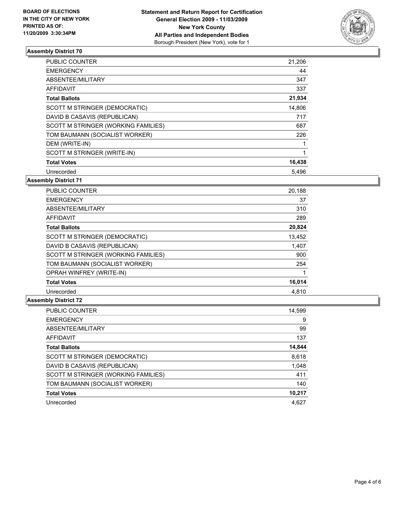

| PUBLIC COUNTER                      | 21,206 |
|-------------------------------------|--------|
| <b>EMERGENCY</b>                    | 44     |
| ABSENTEE/MILITARY                   | 347    |
| <b>AFFIDAVIT</b>                    | 337    |
| <b>Total Ballots</b>                | 21,934 |
| SCOTT M STRINGER (DEMOCRATIC)       | 14,806 |
| DAVID B CASAVIS (REPUBLICAN)        | 717    |
| SCOTT M STRINGER (WORKING FAMILIES) | 687    |
| TOM BAUMANN (SOCIALIST WORKER)      | 226    |
| DEM (WRITE-IN)                      | 1      |
| SCOTT M STRINGER (WRITE-IN)         | 1      |
| <b>Total Votes</b>                  | 16,438 |
| Unrecorded                          | 5,496  |

**Assembly District 71**

| <b>PUBLIC COUNTER</b>               | 20,188 |
|-------------------------------------|--------|
| <b>EMERGENCY</b>                    | 37     |
| ABSENTEE/MILITARY                   | 310    |
| AFFIDAVIT                           | 289    |
| <b>Total Ballots</b>                | 20,824 |
| SCOTT M STRINGER (DEMOCRATIC)       | 13,452 |
| DAVID B CASAVIS (REPUBLICAN)        | 1,407  |
| SCOTT M STRINGER (WORKING FAMILIES) | 900    |
| TOM BAUMANN (SOCIALIST WORKER)      | 254    |
| <b>OPRAH WINFREY (WRITE-IN)</b>     |        |
| <b>Total Votes</b>                  | 16,014 |
| Unrecorded                          | 4.810  |

| <b>PUBLIC COUNTER</b>               | 14,599 |
|-------------------------------------|--------|
| <b>EMERGENCY</b>                    | 9      |
| ABSENTEE/MILITARY                   | 99     |
| AFFIDAVIT                           | 137    |
| <b>Total Ballots</b>                | 14,844 |
| SCOTT M STRINGER (DEMOCRATIC)       | 8,618  |
| DAVID B CASAVIS (REPUBLICAN)        | 1,048  |
| SCOTT M STRINGER (WORKING FAMILIES) | 411    |
| TOM BAUMANN (SOCIALIST WORKER)      | 140    |
| <b>Total Votes</b>                  | 10,217 |
| Unrecorded                          | 4.627  |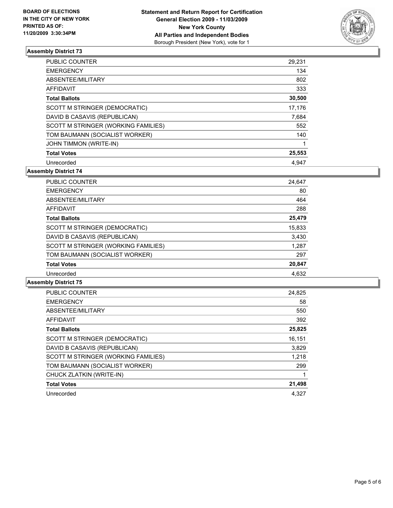

| <b>PUBLIC COUNTER</b>               | 29,231 |
|-------------------------------------|--------|
| <b>EMERGENCY</b>                    | 134    |
| ABSENTEE/MILITARY                   | 802    |
| <b>AFFIDAVIT</b>                    | 333    |
| <b>Total Ballots</b>                | 30,500 |
| SCOTT M STRINGER (DEMOCRATIC)       | 17.176 |
| DAVID B CASAVIS (REPUBLICAN)        | 7.684  |
| SCOTT M STRINGER (WORKING FAMILIES) | 552    |
| TOM BAUMANN (SOCIALIST WORKER)      | 140    |
| <b>JOHN TIMMON (WRITE-IN)</b>       | 1      |
| <b>Total Votes</b>                  | 25,553 |
| Unrecorded                          | 4.947  |

**Assembly District 74**

| <b>PUBLIC COUNTER</b>               | 24.647 |
|-------------------------------------|--------|
| <b>EMERGENCY</b>                    | 80     |
| ABSENTEE/MILITARY                   | 464    |
| AFFIDAVIT                           | 288    |
| <b>Total Ballots</b>                | 25,479 |
| SCOTT M STRINGER (DEMOCRATIC)       | 15,833 |
| DAVID B CASAVIS (REPUBLICAN)        | 3,430  |
| SCOTT M STRINGER (WORKING FAMILIES) | 1.287  |
| TOM BAUMANN (SOCIALIST WORKER)      | 297    |
| <b>Total Votes</b>                  | 20,847 |
| Unrecorded                          | 4.632  |

| <b>PUBLIC COUNTER</b>               | 24,825 |
|-------------------------------------|--------|
| <b>EMERGENCY</b>                    | 58     |
| ABSENTEE/MILITARY                   | 550    |
| <b>AFFIDAVIT</b>                    | 392    |
| <b>Total Ballots</b>                | 25,825 |
| SCOTT M STRINGER (DEMOCRATIC)       | 16,151 |
| DAVID B CASAVIS (REPUBLICAN)        | 3,829  |
| SCOTT M STRINGER (WORKING FAMILIES) | 1,218  |
| TOM BAUMANN (SOCIALIST WORKER)      | 299    |
| CHUCK ZLATKIN (WRITE-IN)            |        |
| <b>Total Votes</b>                  | 21,498 |
| Unrecorded                          | 4.327  |